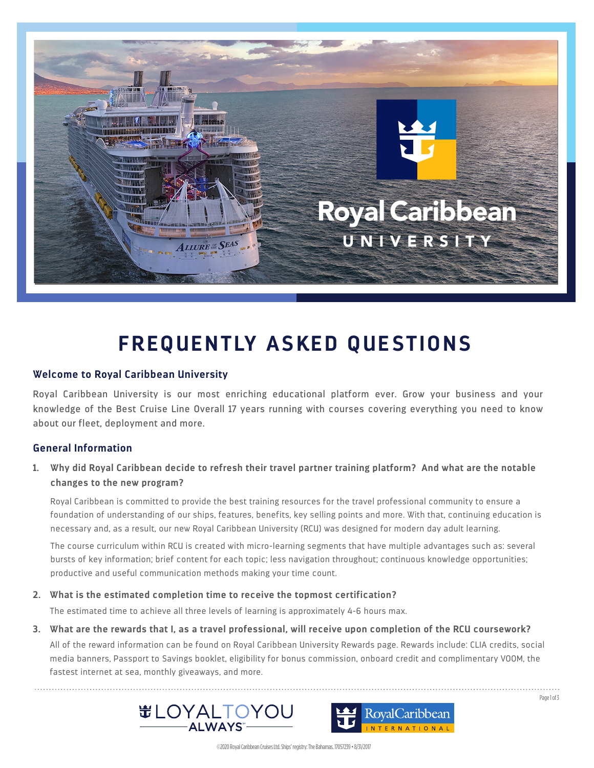

# **FREQUENTLY ASKED QUESTIONS**

#### **Welcome to Royal Caribbean University**

Royal Caribbean University is our most enriching educational platform ever. Grow your business and your knowledge of the Best Cruise Line Overall 17 years running with courses covering everything you need to know about our fleet, deployment and more.

# **General Information**

# **1. Why did Royal Caribbean decide to refresh their travel partner training platform? And what are the notable changes to the new program?**

Royal Caribbean is committed to provide the best training resources for the travel professional community to ensure a foundation of understanding of our ships, features, benefits, key selling points and more. With that, continuing education is necessary and, as a result, our new Royal Caribbean University (RCU) was designed for modern day adult learning.

The course curriculum within RCU is created with micro-learning segments that have multiple advantages such as: several bursts of key information; brief content for each topic; less navigation throughout; continuous knowledge opportunities; productive and useful communication methods making your time count.

#### **2. What is the estimated completion time to receive the topmost certification?**

The estimated time to achieve all three levels of learning is approximately 4-6 hours max.

# **3. What are the rewards that I, as a travel professional, will receive upon completion of the RCU coursework?**

All of the reward information can be found on Royal Caribbean University Rewards page. Rewards include: CLIA credits, social media banners, Passport to Savings booklet, eligibility for bonus commission, onboard credit and complimentary VOOM, the fastest internet at sea, monthly giveaways, and more.





Page 1 of 3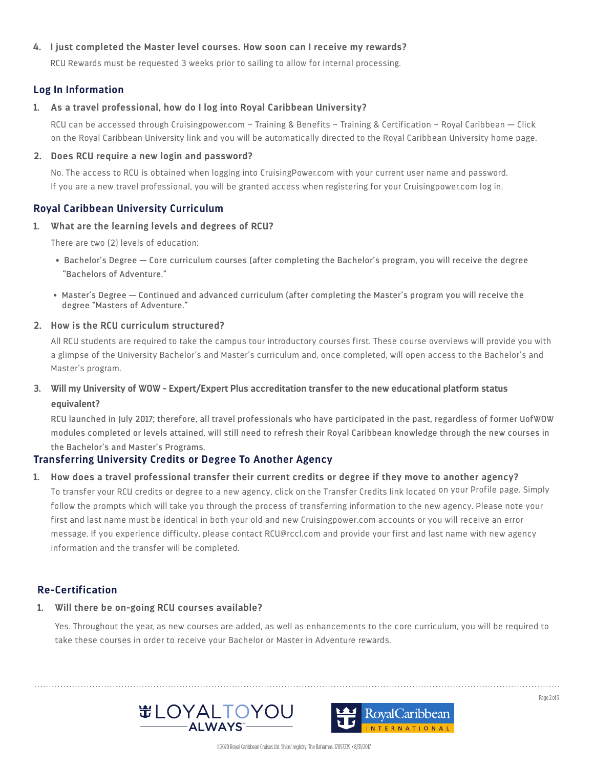#### **4. I just completed the Master level courses. How soon can I receive my rewards?**

RCU Rewards must be requested 3 weeks prior to sailing to allow for internal processing.

# **Log In Information**

#### **1. As a travel professional, how do I log into Royal Caribbean University?**

RCU can be accessed through Cruisingpower.com ~ Training & Benefits ~ Training & Certification ~ Royal Caribbean — Click on the Royal Caribbean University link and you will be automatically directed to the Royal Caribbean University home page.

#### **2. Does RCU require a new login and password?**

No. The access to RCU is obtained when logging into CruisingPower.com with your current user name and password. If you are a new travel professional, you will be granted access when registering for your Cruisingpower.com log in.

# **Royal Caribbean University Curriculum**

**1. What are the learning levels and degrees of RCU?**

There are two (2) levels of education:

- Bachelor's Degree Core curriculum courses (after completing the Bachelor's program, you will receive the degree "Bachelors of Adventure."
- Master's Degree Continued and advanced curriculum (after completing the Master's program you will receive the degree "Masters of Adventure."

#### **2. How is the RCU curriculum structured?**

All RCU students are required to take the campus tour introductory courses first. These course overviews will provide you with a glimpse of the University Bachelor's and Master's curriculum and, once completed, will open access to the Bachelor's and Master's program.

# **3. Will my University of WOW - Expert/Expert Plus accreditation transfer to the new educational platform status equivalent?**

RCU launched in July 2017; therefore, all travel professionals who have participated in the past, regardless of former UofWOW modules completed or levels attained, will still need to refresh their Royal Caribbean knowledge through the new courses in the Bachelor's and Master's Programs.

#### **Transferring University Credits or Degree To Another Agency**

#### **1. How does a travel professional transfer their current credits or degree if they move to another agency?**

To transfer your RCU credits or degree to a new agency, click on the Transfer Credits link located on your Profile page. Simply follow the prompts which will take you through the process of transferring information to the new agency. Please note your first and last name must be identical in both your old and new Cruisingpower.com accounts or you will receive an error message. If you experience difficulty, please contact RCU@rccl.com and provide your first and last name with new agency information and the transfer will be completed.

# **Re-Certification**

#### **1. Will there be on-going RCU courses available?**

Yes. Throughout the year, as new courses are added, as well as enhancements to the core curriculum, you will be required to take these courses in order to receive your Bachelor or Master in Adventure rewards.